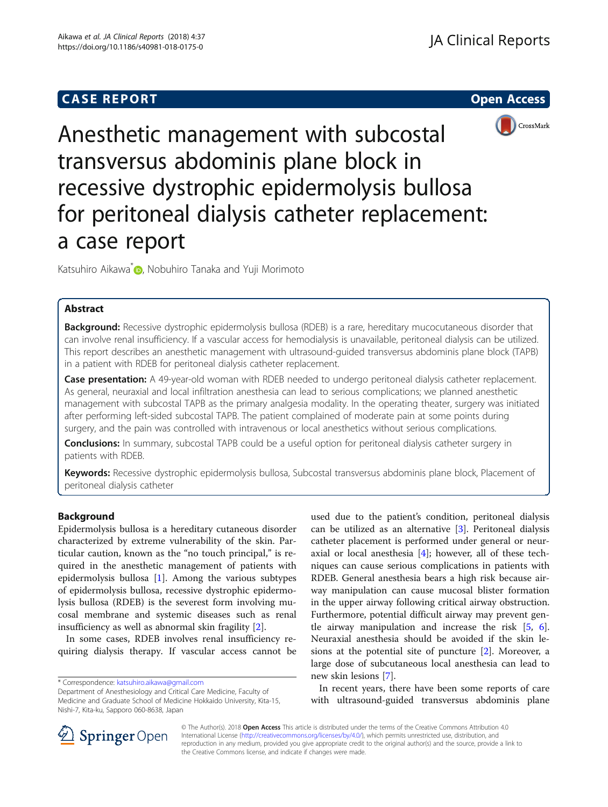# **CASE REPORT CASE REPORT CASE REPORT**





Anesthetic management with subcostal transversus abdominis plane block in recessive dystrophic epidermolysis bullosa for peritoneal dialysis catheter replacement: a case report

Katsuhiro Aikawa<sup>\*</sup> **D**[,](http://orcid.org/0000-0003-0871-3956) Nobuhiro Tanaka and Yuji Morimoto

# Abstract

Background: Recessive dystrophic epidermolysis bullosa (RDEB) is a rare, hereditary mucocutaneous disorder that can involve renal insufficiency. If a vascular access for hemodialysis is unavailable, peritoneal dialysis can be utilized. This report describes an anesthetic management with ultrasound-guided transversus abdominis plane block (TAPB) in a patient with RDEB for peritoneal dialysis catheter replacement.

Case presentation: A 49-year-old woman with RDEB needed to undergo peritoneal dialysis catheter replacement. As general, neuraxial and local infiltration anesthesia can lead to serious complications; we planned anesthetic management with subcostal TAPB as the primary analgesia modality. In the operating theater, surgery was initiated after performing left-sided subcostal TAPB. The patient complained of moderate pain at some points during surgery, and the pain was controlled with intravenous or local anesthetics without serious complications.

Conclusions: In summary, subcostal TAPB could be a useful option for peritoneal dialysis catheter surgery in patients with RDEB.

Keywords: Recessive dystrophic epidermolysis bullosa, Subcostal transversus abdominis plane block, Placement of peritoneal dialysis catheter

# Background

Epidermolysis bullosa is a hereditary cutaneous disorder characterized by extreme vulnerability of the skin. Particular caution, known as the "no touch principal," is required in the anesthetic management of patients with epidermolysis bullosa [[1\]](#page-3-0). Among the various subtypes of epidermolysis bullosa, recessive dystrophic epidermolysis bullosa (RDEB) is the severest form involving mucosal membrane and systemic diseases such as renal insufficiency as well as abnormal skin fragility [[2\]](#page-3-0).

In some cases, RDEB involves renal insufficiency requiring dialysis therapy. If vascular access cannot be

\* Correspondence: [katsuhiro.aikawa@gmail.com](mailto:katsuhiro.aikawa@gmail.com)

Department of Anesthesiology and Critical Care Medicine, Faculty of Medicine and Graduate School of Medicine Hokkaido University, Kita-15, Nishi-7, Kita-ku, Sapporo 060-8638, Japan

used due to the patient's condition, peritoneal dialysis can be utilized as an alternative [[3\]](#page-3-0). Peritoneal dialysis catheter placement is performed under general or neuraxial or local anesthesia [[4](#page-3-0)]; however, all of these techniques can cause serious complications in patients with RDEB. General anesthesia bears a high risk because airway manipulation can cause mucosal blister formation in the upper airway following critical airway obstruction. Furthermore, potential difficult airway may prevent gentle airway manipulation and increase the risk [\[5](#page-3-0), [6](#page-3-0)]. Neuraxial anesthesia should be avoided if the skin lesions at the potential site of puncture [[2\]](#page-3-0). Moreover, a large dose of subcutaneous local anesthesia can lead to new skin lesions [[7\]](#page-3-0).

In recent years, there have been some reports of care with ultrasound-guided transversus abdominis plane



© The Author(s). 2018 Open Access This article is distributed under the terms of the Creative Commons Attribution 4.0 International License ([http://creativecommons.org/licenses/by/4.0/\)](http://creativecommons.org/licenses/by/4.0/), which permits unrestricted use, distribution, and reproduction in any medium, provided you give appropriate credit to the original author(s) and the source, provide a link to the Creative Commons license, and indicate if changes were made.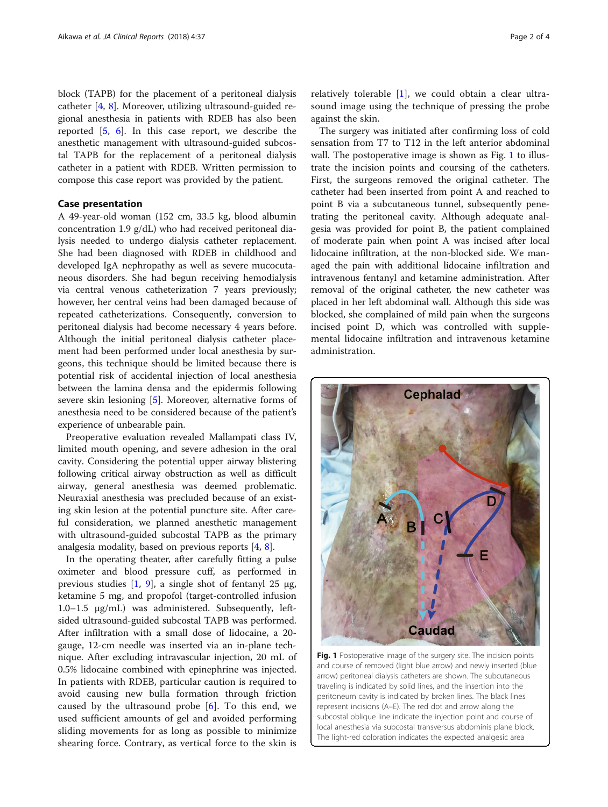<span id="page-1-0"></span>block (TAPB) for the placement of a peritoneal dialysis catheter [[4,](#page-3-0) [8](#page-3-0)]. Moreover, utilizing ultrasound-guided regional anesthesia in patients with RDEB has also been reported [[5,](#page-3-0) [6](#page-3-0)]. In this case report, we describe the anesthetic management with ultrasound-guided subcostal TAPB for the replacement of a peritoneal dialysis catheter in a patient with RDEB. Written permission to compose this case report was provided by the patient.

## Case presentation

A 49-year-old woman (152 cm, 33.5 kg, blood albumin concentration 1.9 g/dL) who had received peritoneal dialysis needed to undergo dialysis catheter replacement. She had been diagnosed with RDEB in childhood and developed IgA nephropathy as well as severe mucocutaneous disorders. She had begun receiving hemodialysis via central venous catheterization 7 years previously; however, her central veins had been damaged because of repeated catheterizations. Consequently, conversion to peritoneal dialysis had become necessary 4 years before. Although the initial peritoneal dialysis catheter placement had been performed under local anesthesia by surgeons, this technique should be limited because there is potential risk of accidental injection of local anesthesia between the lamina densa and the epidermis following severe skin lesioning [[5](#page-3-0)]. Moreover, alternative forms of anesthesia need to be considered because of the patient's experience of unbearable pain.

Preoperative evaluation revealed Mallampati class IV, limited mouth opening, and severe adhesion in the oral cavity. Considering the potential upper airway blistering following critical airway obstruction as well as difficult airway, general anesthesia was deemed problematic. Neuraxial anesthesia was precluded because of an existing skin lesion at the potential puncture site. After careful consideration, we planned anesthetic management with ultrasound-guided subcostal TAPB as the primary analgesia modality, based on previous reports [\[4](#page-3-0), [8](#page-3-0)].

In the operating theater, after carefully fitting a pulse oximeter and blood pressure cuff, as performed in previous studies  $[1, 9]$  $[1, 9]$  $[1, 9]$  $[1, 9]$ , a single shot of fentanyl 25 μg, ketamine 5 mg, and propofol (target-controlled infusion 1.0–1.5 μg/mL) was administered. Subsequently, leftsided ultrasound-guided subcostal TAPB was performed. After infiltration with a small dose of lidocaine, a 20 gauge, 12-cm needle was inserted via an in-plane technique. After excluding intravascular injection, 20 mL of 0.5% lidocaine combined with epinephrine was injected. In patients with RDEB, particular caution is required to avoid causing new bulla formation through friction caused by the ultrasound probe  $[6]$  $[6]$ . To this end, we used sufficient amounts of gel and avoided performing sliding movements for as long as possible to minimize shearing force. Contrary, as vertical force to the skin is

relatively tolerable [\[1](#page-3-0)], we could obtain a clear ultrasound image using the technique of pressing the probe against the skin.

The surgery was initiated after confirming loss of cold sensation from T7 to T12 in the left anterior abdominal wall. The postoperative image is shown as Fig. 1 to illustrate the incision points and coursing of the catheters. First, the surgeons removed the original catheter. The catheter had been inserted from point A and reached to point B via a subcutaneous tunnel, subsequently penetrating the peritoneal cavity. Although adequate analgesia was provided for point B, the patient complained of moderate pain when point A was incised after local lidocaine infiltration, at the non-blocked side. We managed the pain with additional lidocaine infiltration and intravenous fentanyl and ketamine administration. After removal of the original catheter, the new catheter was placed in her left abdominal wall. Although this side was blocked, she complained of mild pain when the surgeons incised point D, which was controlled with supplemental lidocaine infiltration and intravenous ketamine administration.

**Caudad** Fig. 1 Postoperative image of the surgery site. The incision points and course of removed (light blue arrow) and newly inserted (blue arrow) peritoneal dialysis catheters are shown. The subcutaneous traveling is indicated by solid lines, and the insertion into the peritoneum cavity is indicated by broken lines. The black lines represent incisions (A–E). The red dot and arrow along the subcostal oblique line indicate the injection point and course of

local anesthesia via subcostal transversus abdominis plane block. The light-red coloration indicates the expected analgesic area

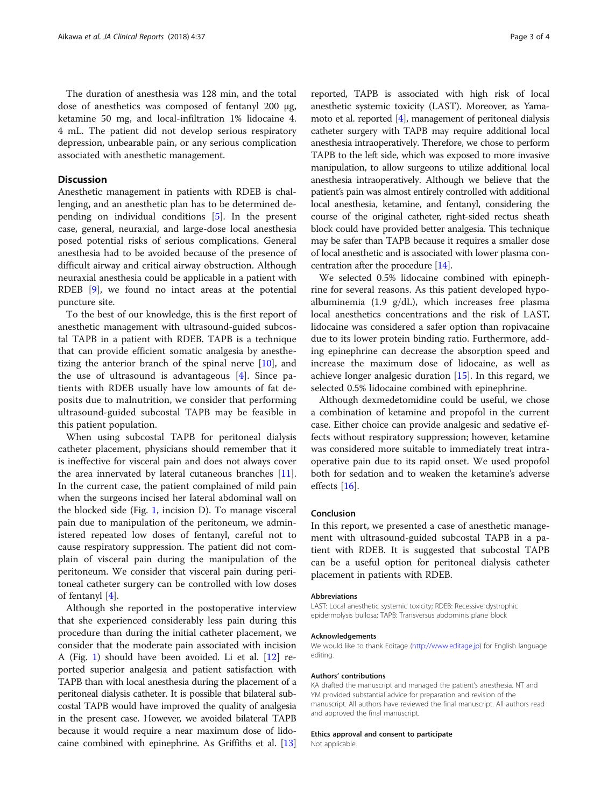The duration of anesthesia was 128 min, and the total dose of anesthetics was composed of fentanyl 200 μg, ketamine 50 mg, and local-infiltration 1% lidocaine 4. 4 mL. The patient did not develop serious respiratory depression, unbearable pain, or any serious complication associated with anesthetic management.

### **Discussion**

Anesthetic management in patients with RDEB is challenging, and an anesthetic plan has to be determined depending on individual conditions [[5](#page-3-0)]. In the present case, general, neuraxial, and large-dose local anesthesia posed potential risks of serious complications. General anesthesia had to be avoided because of the presence of difficult airway and critical airway obstruction. Although neuraxial anesthesia could be applicable in a patient with RDEB [[9\]](#page-3-0), we found no intact areas at the potential puncture site.

To the best of our knowledge, this is the first report of anesthetic management with ultrasound-guided subcostal TAPB in a patient with RDEB. TAPB is a technique that can provide efficient somatic analgesia by anesthetizing the anterior branch of the spinal nerve  $[10]$  $[10]$ , and the use of ultrasound is advantageous  $[4]$  $[4]$ . Since patients with RDEB usually have low amounts of fat deposits due to malnutrition, we consider that performing ultrasound-guided subcostal TAPB may be feasible in this patient population.

When using subcostal TAPB for peritoneal dialysis catheter placement, physicians should remember that it is ineffective for visceral pain and does not always cover the area innervated by lateral cutaneous branches [\[11](#page-3-0)]. In the current case, the patient complained of mild pain when the surgeons incised her lateral abdominal wall on the blocked side (Fig. [1,](#page-1-0) incision D). To manage visceral pain due to manipulation of the peritoneum, we administered repeated low doses of fentanyl, careful not to cause respiratory suppression. The patient did not complain of visceral pain during the manipulation of the peritoneum. We consider that visceral pain during peritoneal catheter surgery can be controlled with low doses of fentanyl [\[4](#page-3-0)].

Although she reported in the postoperative interview that she experienced considerably less pain during this procedure than during the initial catheter placement, we consider that the moderate pain associated with incision A (Fig. [1](#page-1-0)) should have been avoided. Li et al. [\[12](#page-3-0)] reported superior analgesia and patient satisfaction with TAPB than with local anesthesia during the placement of a peritoneal dialysis catheter. It is possible that bilateral subcostal TAPB would have improved the quality of analgesia in the present case. However, we avoided bilateral TAPB because it would require a near maximum dose of lidocaine combined with epinephrine. As Griffiths et al. [\[13](#page-3-0)]

reported, TAPB is associated with high risk of local anesthetic systemic toxicity (LAST). Moreover, as Yamamoto et al. reported [\[4](#page-3-0)], management of peritoneal dialysis catheter surgery with TAPB may require additional local anesthesia intraoperatively. Therefore, we chose to perform TAPB to the left side, which was exposed to more invasive manipulation, to allow surgeons to utilize additional local anesthesia intraoperatively. Although we believe that the patient's pain was almost entirely controlled with additional local anesthesia, ketamine, and fentanyl, considering the course of the original catheter, right-sided rectus sheath block could have provided better analgesia. This technique may be safer than TAPB because it requires a smaller dose of local anesthetic and is associated with lower plasma concentration after the procedure [[14](#page-3-0)].

We selected 0.5% lidocaine combined with epinephrine for several reasons. As this patient developed hypoalbuminemia (1.9 g/dL), which increases free plasma local anesthetics concentrations and the risk of LAST, lidocaine was considered a safer option than ropivacaine due to its lower protein binding ratio. Furthermore, adding epinephrine can decrease the absorption speed and increase the maximum dose of lidocaine, as well as achieve longer analgesic duration [[15\]](#page-3-0). In this regard, we selected 0.5% lidocaine combined with epinephrine.

Although dexmedetomidine could be useful, we chose a combination of ketamine and propofol in the current case. Either choice can provide analgesic and sedative effects without respiratory suppression; however, ketamine was considered more suitable to immediately treat intraoperative pain due to its rapid onset. We used propofol both for sedation and to weaken the ketamine's adverse effects [[16\]](#page-3-0).

#### Conclusion

In this report, we presented a case of anesthetic management with ultrasound-guided subcostal TAPB in a patient with RDEB. It is suggested that subcostal TAPB can be a useful option for peritoneal dialysis catheter placement in patients with RDEB.

#### Abbreviations

LAST: Local anesthetic systemic toxicity; RDEB: Recessive dystrophic epidermolysis bullosa; TAPB: Transversus abdominis plane block

#### Acknowledgements

We would like to thank Editage [\(http://www.editage.jp\)](http://www.editage.jp) for English language editing.

#### Authors' contributions

KA drafted the manuscript and managed the patient's anesthesia. NT and YM provided substantial advice for preparation and revision of the manuscript. All authors have reviewed the final manuscript. All authors read and approved the final manuscript.

#### Ethics approval and consent to participate

Not applicable.